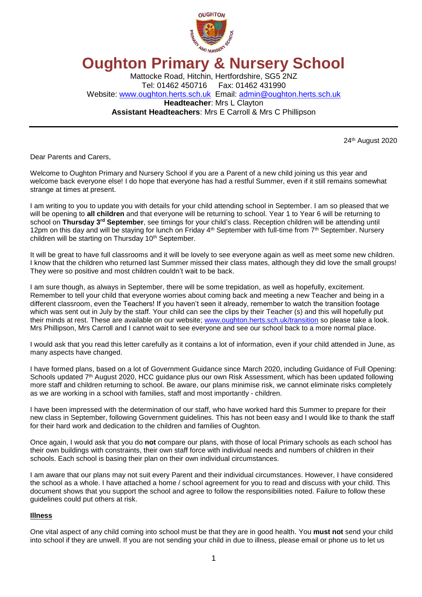

# **Oughton Primary & Nursery School**

Mattocke Road, Hitchin, Hertfordshire, SG5 2NZ Tel: 01462 450716 Fax: 01462 431990 Website: [www.oughton.herts.sch.uk](http://www.oughton.herts.sch.uk/) Email: [admin@oughton.herts.sch.uk](mailto:admin@oughton.herts.sch.uk) **Headteacher**: Mrs L Clayton **Assistant Headteachers**: Mrs E Carroll & Mrs C Phillipson

24 th August 2020

Dear Parents and Carers,

Welcome to Oughton Primary and Nursery School if you are a Parent of a new child joining us this year and welcome back everyone else! I do hope that everyone has had a restful Summer, even if it still remains somewhat strange at times at present.

I am writing to you to update you with details for your child attending school in September. I am so pleased that we will be opening to **all children** and that everyone will be returning to school. Year 1 to Year 6 will be returning to school on **Thursday 3rd September**, see timings for your child's class. Reception children will be attending until 12pm on this day and will be staying for lunch on Friday 4<sup>th</sup> September with full-time from 7<sup>th</sup> September. Nursery children will be starting on Thursday 10<sup>th</sup> September.

It will be great to have full classrooms and it will be lovely to see everyone again as well as meet some new children. I know that the children who returned last Summer missed their class mates, although they did love the small groups! They were so positive and most children couldn't wait to be back.

I am sure though, as always in September, there will be some trepidation, as well as hopefully, excitement. Remember to tell your child that everyone worries about coming back and meeting a new Teacher and being in a different classroom, even the Teachers! If you haven't seen it already, remember to watch the transition footage which was sent out in July by the staff. Your child can see the clips by their Teacher (s) and this will hopefully put their minds at rest. These are available on our website; [www.oughton.herts.sch.uk/transition](http://www.oughton.herts.sch.uk/transition) so please take a look. Mrs Phillipson, Mrs Carroll and I cannot wait to see everyone and see our school back to a more normal place.

I would ask that you read this letter carefully as it contains a lot of information, even if your child attended in June, as many aspects have changed.

I have formed plans, based on a lot of Government Guidance since March 2020, including Guidance of Full Opening: Schools updated 7<sup>th</sup> August 2020, HCC guidance plus our own Risk Assessment, which has been updated following more staff and children returning to school. Be aware, our plans minimise risk, we cannot eliminate risks completely as we are working in a school with families, staff and most importantly - children.

I have been impressed with the determination of our staff, who have worked hard this Summer to prepare for their new class in September, following Government guidelines. This has not been easy and I would like to thank the staff for their hard work and dedication to the children and families of Oughton.

Once again, I would ask that you do **not** compare our plans, with those of local Primary schools as each school has their own buildings with constraints, their own staff force with individual needs and numbers of children in their schools. Each school is basing their plan on their own individual circumstances.

I am aware that our plans may not suit every Parent and their individual circumstances. However, I have considered the school as a whole. I have attached a home / school agreement for you to read and discuss with your child. This document shows that you support the school and agree to follow the responsibilities noted. Failure to follow these guidelines could put others at risk.

# **Illness**

One vital aspect of any child coming into school must be that they are in good health. You **must not** send your child into school if they are unwell. If you are not sending your child in due to illness, please email or phone us to let us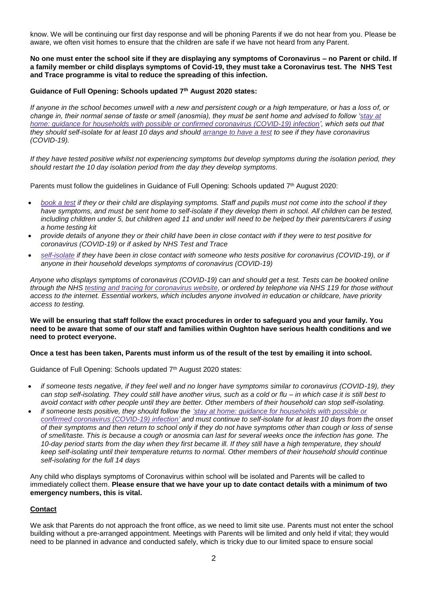know. We will be continuing our first day response and will be phoning Parents if we do not hear from you. Please be aware, we often visit homes to ensure that the children are safe if we have not heard from any Parent.

**No one must enter the school site if they are displaying any symptoms of Coronavirus – no Parent or child. If a family member or child displays symptoms of Covid-19, they must take a Coronavirus test. The NHS Test and Trace programme is vital to reduce the spreading of this infection.** 

## **Guidance of Full Opening: Schools updated 7th August 2020 states:**

*If anyone in the school becomes unwell with a new and persistent cough or a high temperature, or has a loss of, or change in, their normal sense of taste or smell (anosmia), they must be sent home and advised to follow ['stay](https://www.gov.uk/government/publications/covid-19-stay-at-home-guidance) at home: guidance for households with possible or confirmed coronavirus [\(COVID-19\)](https://www.gov.uk/government/publications/covid-19-stay-at-home-guidance) infection', which sets out that they should self-isolate for at least 10 days and should [arrange](https://www.gov.uk/guidance/coronavirus-covid-19-getting-tested) to have a test to see if they have coronavirus (COVID-19).*

*If they have tested positive whilst not experiencing symptoms but develop symptoms during the isolation period, they should restart the 10 day isolation period from the day they develop symptoms.* 

Parents must follow the guidelines in Guidance of Full Opening: Schools updated 7th August 2020:

- *[book](https://www.gov.uk/guidance/coronavirus-covid-19-getting-tested) a test if they or their child are displaying symptoms. Staff and pupils must not come into the school if they*  have symptoms, and must be sent home to self-isolate if they develop them in school. All children can be tested, *including children under 5, but children aged 11 and under will need to be helped by their parents/carers if using a home testing kit*
- *provide details of anyone they or their child have been in close contact with if they were to test positive for coronavirus (COVID-19) or if asked by NHS Test and Trace*
- *[self-isolate](https://www.gov.uk/government/publications/covid-19-stay-at-home-guidance/stay-at-home-guidance-for-households-with-possible-coronavirus-covid-19-infection) if they have been in close contact with someone who tests positive for coronavirus (COVID-19), or if anyone in their household develops symptoms of coronavirus (COVID-19)*

*Anyone who displays symptoms of coronavirus (COVID-19) can and should get a test. Tests can be booked online through the NHS testing and tracing for [coronavirus](https://www.nhs.uk/conditions/coronavirus-covid-19/testing-for-coronavirus/) website, or ordered by telephone via NHS 119 for those without access to the internet. Essential workers, which includes anyone involved in education or childcare, have priority access to testing.*

#### **We will be ensuring that staff follow the exact procedures in order to safeguard you and your family. You need to be aware that some of our staff and families within Oughton have serious health conditions and we need to protect everyone.**

#### **Once a test has been taken, Parents must inform us of the result of the test by emailing it into school.**

Guidance of Full Opening: Schools updated 7<sup>th</sup> August 2020 states:

- *if someone tests negative, if they feel well and no longer have symptoms similar to coronavirus (COVID-19), they can stop self-isolating. They could still have another virus, such as a cold or flu – in which case it is still best to avoid contact with other people until they are better. Other members of their household can stop self-isolating.*
- *if someone tests positive, they should follow the 'stay at home: guidance for [households](https://www.gov.uk/government/publications/covid-19-stay-at-home-guidance) with possible or confirmed coronavirus [\(COVID-19\)](https://www.gov.uk/government/publications/covid-19-stay-at-home-guidance) infection' and must continue to self-isolate for at least 10 days from the onset of their symptoms and then return to school only if they do not have symptoms other than cough or loss of sense of smell/taste. This is because a cough or anosmia can last for several weeks once the infection has gone. The 10-day period starts from the day when they first became ill. If they still have a high temperature, they should keep self-isolating until their temperature returns to normal. Other members of their household should continue self-isolating for the full 14 days*

Any child who displays symptoms of Coronavirus within school will be isolated and Parents will be called to immediately collect them. **Please ensure that we have your up to date contact details with a minimum of two emergency numbers, this is vital.**

# **Contact**

We ask that Parents do not approach the front office, as we need to limit site use. Parents must not enter the school building without a pre-arranged appointment. Meetings with Parents will be limited and only held if vital; they would need to be planned in advance and conducted safely, which is tricky due to our limited space to ensure social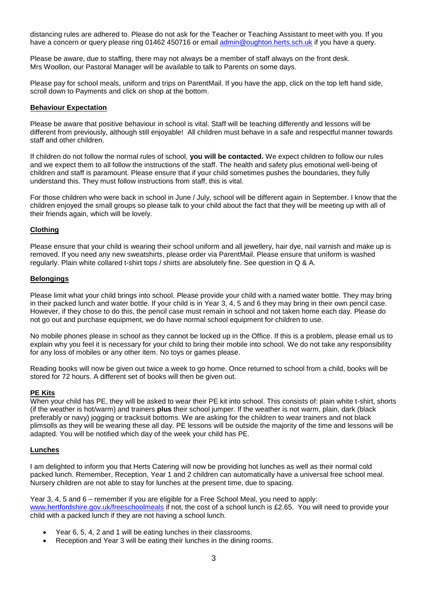distancing rules are adhered to. Please do not ask for the Teacher or Teaching Assistant to meet with you. If you have a concern or query please ring 01462 450716 or email [admin@oughton.herts.sch.uk](mailto:admin@oughton.herts.sch.uk) if you have a query.

Please be aware, due to staffing, there may not always be a member of staff always on the front desk. Mrs Woollon, our Pastoral Manager will be available to talk to Parents on some days.

Please pay for school meals, uniform and trips on ParentMail. If you have the app, click on the top left hand side, scroll down to Payments and click on shop at the bottom.

#### **Behaviour Expectation**

Please be aware that positive behaviour in school is vital. Staff will be teaching differently and lessons will be different from previously, although still enjoyable! All children must behave in a safe and respectful manner towards staff and other children.

If children do not follow the normal rules of school, **you will be contacted.** We expect children to follow our rules and we expect them to all follow the instructions of the staff. The health and safety plus emotional well-being of children and staff is paramount. Please ensure that if your child sometimes pushes the boundaries, they fully understand this. They must follow instructions from staff, this is vital.

For those children who were back in school in June / July, school will be different again in September. I know that the children enjoyed the small groups so please talk to your child about the fact that they will be meeting up with all of their friends again, which will be lovely.

# **Clothing**

Please ensure that your child is wearing their school uniform and all jewellery, hair dye, nail varnish and make up is removed. If you need any new sweatshirts, please order via ParentMail. Please ensure that uniform is washed regularly. Plain white collared t-shirt tops / shirts are absolutely fine. See question in Q & A.

## **Belongings**

Please limit what your child brings into school. Please provide your child with a named water bottle. They may bring in their packed lunch and water bottle. If your child is in Year 3, 4, 5 and 6 they may bring in their own pencil case. However, if they chose to do this, the pencil case must remain in school and not taken home each day. Please do not go out and purchase equipment, we do have normal school equipment for children to use.

No mobile phones please in school as they cannot be locked up in the Office. If this is a problem, please email us to explain why you feel it is necessary for your child to bring their mobile into school. We do not take any responsibility for any loss of mobiles or any other item. No toys or games please.

Reading books will now be given out twice a week to go home. Once returned to school from a child, books will be stored for 72 hours. A different set of books will then be given out.

#### **PE Kits**

When your child has PE, they will be asked to wear their PE kit into school. This consists of: plain white t-shirt, shorts (if the weather is hot/warm) and trainers **plus** their school jumper. If the weather is not warm, plain, dark (black preferably or navy) jogging or tracksuit bottoms. We are asking for the children to wear trainers and not black plimsolls as they will be wearing these all day. PE lessons will be outside the majority of the time and lessons will be adapted. You will be notified which day of the week your child has PE.

#### **Lunches**

I am delighted to inform you that Herts Catering will now be providing hot lunches as well as their normal cold packed lunch. Remember, Reception, Year 1 and 2 children can automatically have a universal free school meal. Nursery children are not able to stay for lunches at the present time, due to spacing.

Year 3, 4, 5 and 6 – remember if you are eligible for a Free School Meal, you need to apply: [www.hertfordshire.gov.uk/freeschoolmeals](http://www.hertfordshire.gov.uk/freeschoolmeals) if not, the cost of a school lunch is £2.65. You will need to provide your child with a packed lunch if they are not having a school lunch.

- Year 6, 5, 4, 2 and 1 will be eating lunches in their classrooms.
- Reception and Year 3 will be eating their lunches in the dining rooms.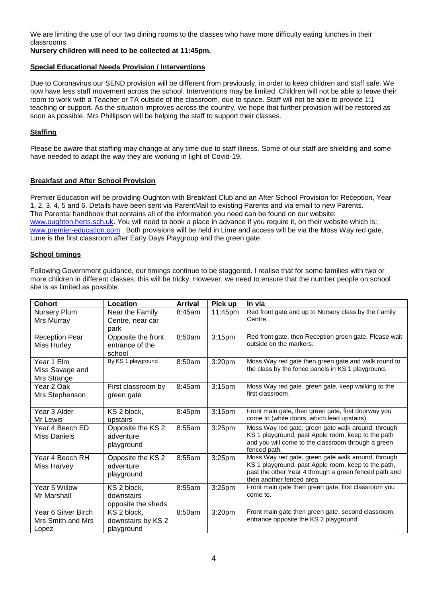We are limiting the use of our two dining rooms to the classes who have more difficulty eating lunches in their classrooms.

**Nursery children will need to be collected at 11:45pm.**

# **Special Educational Needs Provision / Interventions**

Due to Coronavirus our SEND provision will be different from previously, in order to keep children and staff safe. We now have less staff movement across the school. Interventions may be limited. Children will not be able to leave their room to work with a Teacher or TA outside of the classroom, due to space. Staff will not be able to provide 1:1 teaching or support. As the situation improves across the country, we hope that further provision will be restored as soon as possible. Mrs Phillipson will be helping the staff to support their classes.

# **Staffing**

Please be aware that staffing may change at any time due to staff illness. Some of our staff are shielding and some have needed to adapt the way they are working in light of Covid-19.

# **Breakfast and After School Provision**

Premier Education will be providing Oughton with Breakfast Club and an After School Provision for Reception, Year 1, 2, 3, 4, 5 and 6. Details have been sent via ParentMail to existing Parents and via email to new Parents. The Parental handbook that contains all of the information you need can be found on our website: [www.oughton.herts.sch.uk.](http://www.oughton.herts.sch.uk/) You will need to book a place in advance if you require it, on their website which is: [www.premier-education.com](http://www.premier-education.com/). Both provisions will be held in Lime and access will be via the Moss Way red gate, Lime is the first classroom after Early Days Playgroup and the green gate.

# **School timings**

Following Government guidance, our timings continue to be staggered. I realise that for some families with two or more children in different classes, this will be tricky. However, we need to ensure that the number people on school site is as limited as possible.

| Cohort                                            | Location                                        | <b>Arrival</b> | Pick up            | In via                                                                                                                                                                                          |
|---------------------------------------------------|-------------------------------------------------|----------------|--------------------|-------------------------------------------------------------------------------------------------------------------------------------------------------------------------------------------------|
| Nursery Plum<br>Mrs Murray                        | Near the Family<br>Centre, near car<br>park     | 8:45am         | 11:45pm            | Red front gate and up to Nursery class by the Family<br>Centre.                                                                                                                                 |
| <b>Reception Pear</b><br>Miss Hurley              | Opposite the front<br>entrance of the<br>school | 8:50am         | 3:15 <sub>pm</sub> | Red front gate, then Reception green gate. Please wait<br>outside on the markers.                                                                                                               |
| Year 1 Elm<br>Miss Savage and<br>Mrs Strange      | By KS 1 playground                              | 8:50am         | 3:20pm             | Moss Way red gate then green gate and walk round to<br>the class by the fence panels in KS 1 playground.                                                                                        |
| Year 2 Oak<br>Mrs Stephenson                      | First classroom by<br>green gate                | 8:45am         | 3:15 <sub>pm</sub> | Moss Way red gate, green gate, keep walking to the<br>first classroom.                                                                                                                          |
| Year 3 Alder<br>Mr Lewis                          | KS 2 block,<br>upstairs                         | 8:45pm         | 3:15 <sub>pm</sub> | Front main gate, then green gate, first doorway you<br>come to (white doors, which lead upstairs).                                                                                              |
| Year 4 Beech ED<br>Miss Daniels                   | Opposite the KS 2<br>adventure<br>playground    | 8:55am         | $3:25$ pm          | Moss Way red gate, green gate walk around, through<br>KS 1 playground, past Apple room, keep to the path<br>and you will come to the classroom through a green<br>fenced path.                  |
| Year 4 Beech RH<br>Miss Harvey                    | Opposite the KS 2<br>adventure<br>playground    | 8:55am         | $3:25$ pm          | Moss Way red gate, green gate walk around, through<br>KS 1 playground, past Apple room, keep to the path,<br>past the other Year 4 through a green fenced path and<br>then another fenced area. |
| Year 5 Willow<br>Mr Marshall                      | KS 2 block,<br>downstairs<br>opposite the sheds | 8:55am         | $3:25$ pm          | Front main gate then green gate, first classroom you<br>come to.                                                                                                                                |
| Year 6 Silver Birch<br>Mrs Smith and Mrs<br>Lopez | KS 2 block,<br>downstairs by KS 2<br>playground | 8:50am         | 3:20pm             | Front main gate then green gate, second classroom,<br>entrance opposite the KS 2 playground.                                                                                                    |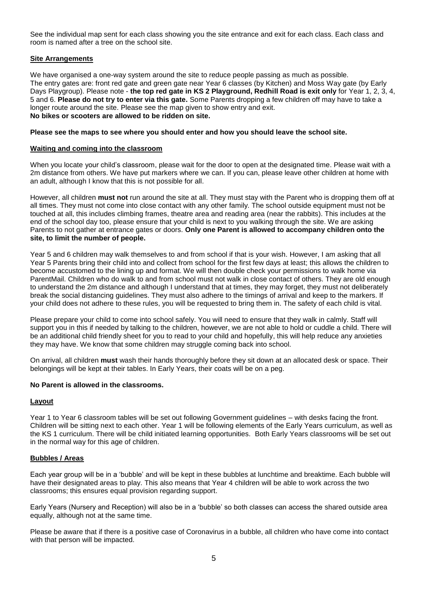See the individual map sent for each class showing you the site entrance and exit for each class. Each class and room is named after a tree on the school site.

## **Site Arrangements**

We have organised a one-way system around the site to reduce people passing as much as possible. The entry gates are: front red gate and green gate near Year 6 classes (by Kitchen) and Moss Way gate (by Early Days Playgroup). Please note - **the top red gate in KS 2 Playground, Redhill Road is exit only** for Year 1, 2, 3, 4, 5 and 6. **Please do not try to enter via this gate.** Some Parents dropping a few children off may have to take a longer route around the site. Please see the map given to show entry and exit. **No bikes or scooters are allowed to be ridden on site.** 

## **Please see the maps to see where you should enter and how you should leave the school site.**

## **Waiting and coming into the classroom**

When you locate your child's classroom, please wait for the door to open at the designated time. Please wait with a 2m distance from others. We have put markers where we can. If you can, please leave other children at home with an adult, although I know that this is not possible for all.

However, all children **must not** run around the site at all. They must stay with the Parent who is dropping them off at all times. They must not come into close contact with any other family. The school outside equipment must not be touched at all, this includes climbing frames, theatre area and reading area (near the rabbits). This includes at the end of the school day too, please ensure that your child is next to you walking through the site. We are asking Parents to not gather at entrance gates or doors. **Only one Parent is allowed to accompany children onto the site, to limit the number of people.**

Year 5 and 6 children may walk themselves to and from school if that is your wish. However, I am asking that all Year 5 Parents bring their child into and collect from school for the first few days at least; this allows the children to become accustomed to the lining up and format. We will then double check your permissions to walk home via ParentMail. Children who do walk to and from school must not walk in close contact of others. They are old enough to understand the 2m distance and although I understand that at times, they may forget, they must not deliberately break the social distancing guidelines. They must also adhere to the timings of arrival and keep to the markers. If your child does not adhere to these rules, you will be requested to bring them in. The safety of each child is vital.

Please prepare your child to come into school safely. You will need to ensure that they walk in calmly. Staff will support you in this if needed by talking to the children, however, we are not able to hold or cuddle a child. There will be an additional child friendly sheet for you to read to your child and hopefully, this will help reduce any anxieties they may have. We know that some children may struggle coming back into school.

On arrival, all children **must** wash their hands thoroughly before they sit down at an allocated desk or space. Their belongings will be kept at their tables. In Early Years, their coats will be on a peg.

## **No Parent is allowed in the classrooms.**

# **Layout**

Year 1 to Year 6 classroom tables will be set out following Government guidelines – with desks facing the front. Children will be sitting next to each other. Year 1 will be following elements of the Early Years curriculum, as well as the KS 1 curriculum. There will be child initiated learning opportunities. Both Early Years classrooms will be set out in the normal way for this age of children.

# **Bubbles / Areas**

Each year group will be in a 'bubble' and will be kept in these bubbles at lunchtime and breaktime. Each bubble will have their designated areas to play. This also means that Year 4 children will be able to work across the two classrooms; this ensures equal provision regarding support.

Early Years (Nursery and Reception) will also be in a 'bubble' so both classes can access the shared outside area equally, although not at the same time.

Please be aware that if there is a positive case of Coronavirus in a bubble, all children who have come into contact with that person will be impacted.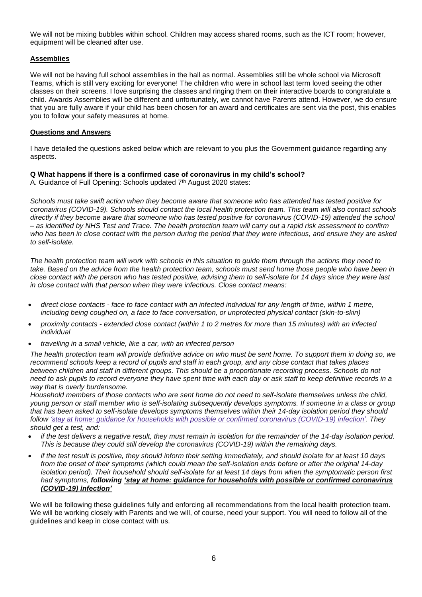We will not be mixing bubbles within school. Children may access shared rooms, such as the ICT room; however, equipment will be cleaned after use.

# **Assemblies**

We will not be having full school assemblies in the hall as normal. Assemblies still be whole school via Microsoft Teams, which is still very exciting for everyone! The children who were in school last term loved seeing the other classes on their screens. I love surprising the classes and ringing them on their interactive boards to congratulate a child. Awards Assemblies will be different and unfortunately, we cannot have Parents attend. However, we do ensure that you are fully aware if your child has been chosen for an award and certificates are sent via the post, this enables you to follow your safety measures at home.

## **Questions and Answers**

I have detailed the questions asked below which are relevant to you plus the Government guidance regarding any aspects.

# **Q What happens if there is a confirmed case of coronavirus in my child's school?**

A. Guidance of Full Opening: Schools updated 7<sup>th</sup> August 2020 states:

*Schools must take swift action when they become aware that someone who has attended has tested positive for coronavirus (COVID-19). Schools should contact the local health protection team. This team will also contact schools directly if they become aware that someone who has tested positive for coronavirus (COVID-19) attended the school – as identified by NHS Test and Trace. The health protection team will carry out a rapid risk assessment to confirm who has been in close contact with the person during the period that they were infectious, and ensure they are asked to self-isolate.*

*The health protection team will work with schools in this situation to guide them through the actions they need to take. Based on the advice from the health protection team, schools must send home those people who have been in close contact with the person who has tested positive, advising them to self-isolate for 14 days since they were last in close contact with that person when they were infectious. Close contact means:*

- *direct close contacts - face to face contact with an infected individual for any length of time, within 1 metre, including being coughed on, a face to face conversation, or unprotected physical contact (skin-to-skin)*
- *proximity contacts - extended close contact (within 1 to 2 metres for more than 15 minutes) with an infected individual*
- *travelling in a small vehicle, like a car, with an infected person*

*The health protection team will provide definitive advice on who must be sent home. To support them in doing so, we recommend schools keep a record of pupils and staff in each group, and any close contact that takes places between children and staff in different groups. This should be a proportionate recording process. Schools do not need to ask pupils to record everyone they have spent time with each day or ask staff to keep definitive records in a way that is overly burdensome.*

*Household members of those contacts who are sent home do not need to self-isolate themselves unless the child, young person or staff member who is self-isolating subsequently develops symptoms. If someone in a class or group that has been asked to self-isolate develops symptoms themselves within their 14-day isolation period they should follow 'stay at home: guidance for households with possible or confirmed coronavirus [\(COVID-19\)](https://www.gov.uk/government/publications/covid-19-stay-at-home-guidance) infection'. They should get a test, and:*

- *if the test delivers a negative result, they must remain in isolation for the remainder of the 14-day isolation period. This is because they could still develop the coronavirus (COVID-19) within the remaining days.*
- *if the test result is positive, they should inform their setting immediately, and should isolate for at least 10 days from the onset of their symptoms (which could mean the self-isolation ends before or after the original 14-day isolation period). Their household should self-isolate for at least 14 days from when the symptomatic person first had symptoms, following 'stay at home: guidance for households with possible or confirmed [coronavirus](https://www.gov.uk/government/publications/covid-19-stay-at-home-guidance) [\(COVID-19\)](https://www.gov.uk/government/publications/covid-19-stay-at-home-guidance) infection'*

We will be following these guidelines fully and enforcing all recommendations from the local health protection team. We will be working closely with Parents and we will, of course, need your support. You will need to follow all of the guidelines and keep in close contact with us.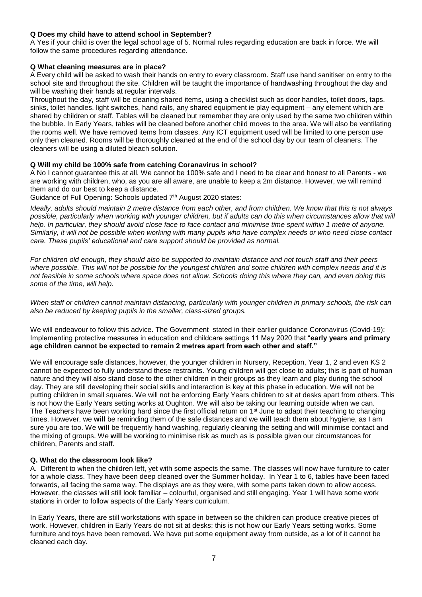# **Q Does my child have to attend school in September?**

A Yes if your child is over the legal school age of 5. Normal rules regarding education are back in force. We will follow the same procedures regarding attendance.

# **Q What cleaning measures are in place?**

A Every child will be asked to wash their hands on entry to every classroom. Staff use hand sanitiser on entry to the school site and throughout the site. Children will be taught the importance of handwashing throughout the day and will be washing their hands at regular intervals.

Throughout the day, staff will be cleaning shared items, using a checklist such as door handles, toilet doors, taps, sinks, toilet handles, light switches, hand rails, any shared equipment ie play equipment – any element which are shared by children or staff. Tables will be cleaned but remember they are only used by the same two children within the bubble. In Early Years, tables will be cleaned before another child moves to the area. We will also be ventilating the rooms well. We have removed items from classes. Any ICT equipment used will be limited to one person use only then cleaned. Rooms will be thoroughly cleaned at the end of the school day by our team of cleaners. The cleaners will be using a diluted bleach solution.

## **Q Will my child be 100% safe from catching Coranavirus in school?**

A No I cannot guarantee this at all. We cannot be 100% safe and I need to be clear and honest to all Parents - we are working with children, who, as you are all aware, are unable to keep a 2m distance. However, we will remind them and do our best to keep a distance.

Guidance of Full Opening: Schools updated 7<sup>th</sup> August 2020 states:

*Ideally, adults should maintain 2 metre distance from each other, and from children. We know that this is not always possible, particularly when working with younger children, but if adults can do this when circumstances allow that will help. In particular, they should avoid close face to face contact and minimise time spent within 1 metre of anyone. Similarly, it will not be possible when working with many pupils who have complex needs or who need close contact care. These pupils' educational and care support should be provided as normal.*

*For children old enough, they should also be supported to maintain distance and not touch staff and their peers where possible. This will not be possible for the youngest children and some children with complex needs and it is not feasible in some schools where space does not allow. Schools doing this where they can, and even doing this some of the time, will help.*

*When staff or children cannot maintain distancing, particularly with younger children in primary schools, the risk can also be reduced by keeping pupils in the smaller, class-sized groups.* 

We will endeavour to follow this advice. The Government stated in their earlier guidance Coronavirus (Covid-19): Implementing protective measures in education and childcare settings 11 May 2020 that "**early years and primary age children cannot be expected to remain 2 metres apart from each other and staff."** 

We will encourage safe distances, however, the younger children in Nursery, Reception, Year 1, 2 and even KS 2 cannot be expected to fully understand these restraints. Young children will get close to adults; this is part of human nature and they will also stand close to the other children in their groups as they learn and play during the school day. They are still developing their social skills and interaction is key at this phase in education. We will not be putting children in small squares. We will not be enforcing Early Years children to sit at desks apart from others. This is not how the Early Years setting works at Oughton. We will also be taking our learning outside when we can. The Teachers have been working hard since the first official return on  $1<sup>st</sup>$  June to adapt their teaching to changing times. However, we **will** be reminding them of the safe distances and we **will** teach them about hygiene, as I am sure you are too. We **will** be frequently hand washing, regularly cleaning the setting and **will** minimise contact and the mixing of groups. We **will** be working to minimise risk as much as is possible given our circumstances for children, Parents and staff.

#### **Q. What do the classroom look like?**

A. Different to when the children left, yet with some aspects the same. The classes will now have furniture to cater for a whole class. They have been deep cleaned over the Summer holiday. In Year 1 to 6, tables have been faced forwards, all facing the same way. The displays are as they were, with some parts taken down to allow access. However, the classes will still look familiar – colourful, organised and still engaging. Year 1 will have some work stations in order to follow aspects of the Early Years curriculum.

In Early Years, there are still workstations with space in between so the children can produce creative pieces of work. However, children in Early Years do not sit at desks; this is not how our Early Years setting works. Some furniture and toys have been removed. We have put some equipment away from outside, as a lot of it cannot be cleaned each day.